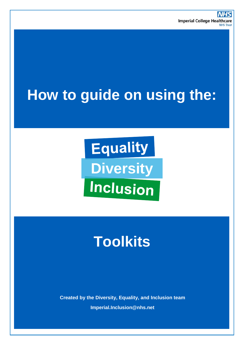# **How to guide on using the:**

**Equality Diversity Inclusion** 

# **Toolkits**

**Created by the Diversity, Equality, and Inclusion team Imperial.Inclusion@nhs.net**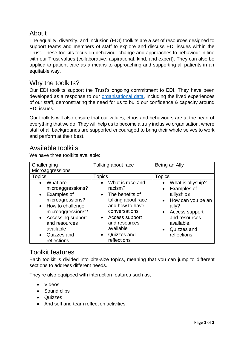## About

The equality, diversity, and inclusion (EDI) toolkits are a set of resources designed to support teams and members of staff to explore and discuss EDI issues within the Trust. These toolkits focus on behaviour change and approaches to behaviour in line with our Trust values (collaborative, aspirational, kind, and expert). They can also be applied to patient care as a means to approaching and supporting all patients in an equitable way.

### Why the toolkits?

Our EDI toolkits support the Trust's ongoing commitment to EDI. They have been developed as a response to our [organisational data,](https://www.imperial.nhs.uk/about-us/who-we-are/publications) including the lived experiences of our staff, demonstrating the need for us to build our confidence & capacity around EDI issues.

Our toolkits will also ensure that our values, ethos and behaviours are at the heart of everything that we do. They will help us to become a truly inclusive organisation, where staff of all backgrounds are supported encouraged to bring their whole selves to work and perform at their best.

### Available toolkits

We have three toolkits available:

| Challenging<br>Microaggressions                                                                                                                                                                                                                | Talking about race                                                                                                                                                                                               | Being an Ally                                                                                                                                                                         |
|------------------------------------------------------------------------------------------------------------------------------------------------------------------------------------------------------------------------------------------------|------------------------------------------------------------------------------------------------------------------------------------------------------------------------------------------------------------------|---------------------------------------------------------------------------------------------------------------------------------------------------------------------------------------|
| <b>Topics</b>                                                                                                                                                                                                                                  | Topics                                                                                                                                                                                                           | <b>Topics</b>                                                                                                                                                                         |
| What are<br>$\bullet$<br>microaggressions?<br>Examples of<br>$\bullet$<br>microagressions?<br>How to challenge<br>$\bullet$<br>microaggressions?<br>Accessing support<br>$\bullet$<br>and resources<br>available<br>Quizzes and<br>reflections | What is race and<br>racism?<br>The benefits of<br>$\bullet$<br>talking about race<br>and how to have<br>conversations<br>Access support<br>$\bullet$<br>and resources<br>available<br>Quizzes and<br>reflections | What is allyship?<br>Examples of<br>alllyships<br>How can you be an<br>$\bullet$<br>ally?<br>Access support<br>$\bullet$<br>and resources<br>available.<br>Quizzes and<br>reflections |

#### Toolkit features

Each toolkit is divided into bite-size topics, meaning that you can jump to different sections to address different needs.

They're also equipped with interaction features such as;

- Videos
- Sound clips
- Quizzes
- And self and team reflection activities.